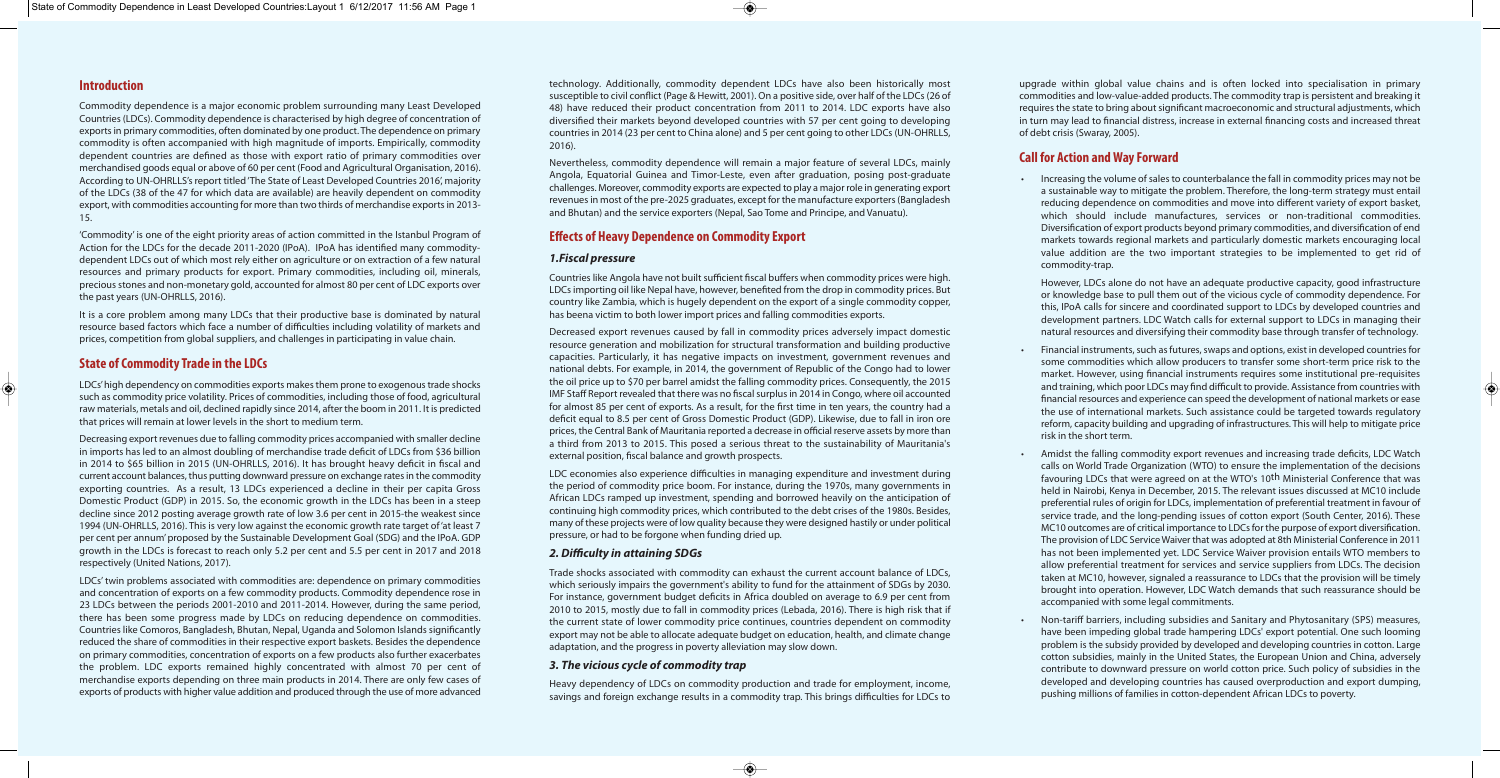#### **Introduction**

Commodity dependence is a major economic problem surrounding many Least Developed Countries (LDCs). Commodity dependence is characterised by high degree of concentration of exports in primary commodities, often dominated by one product. The dependence on primary commodity is often accompanied with high magnitude of imports. Empirically, commodity dependent countries are defined as those with export ratio of primary commodities over merchandised goods equal or above of 60 per cent (Food and Agricultural Organisation, 2016). According to UN-OHRLLS's report titled 'The State of Least Developed Countries 2016', majority of the LDCs (38 of the 47 for which data are available) are heavily dependent on commodity export, with commodities accounting for more than two thirds of merchandise exports in 2013- 15.

'Commodity' is one of the eight priority areas of action committed in the Istanbul Program of Action for the LDCs for the decade 2011-2020 (IPoA). IPoA has identified many commoditydependent LDCs out of which most rely either on agriculture or on extraction of a few natural resources and primary products for export. Primary commodities, including oil, minerals, precious stones and non-monetary gold, accounted for almost 80 per cent of LDC exports over the past years (UN-OHRLLS, 2016).

It is a core problem among many LDCs that their productive base is dominated by natural resource based factors which face a number of difficulties including volatility of markets and prices, competition from global suppliers, and challenges in participating in value chain.

#### **State of Commodity Trade in the LDCs**

LDCs' high dependency on commodities exports makes them prone to exogenous trade shocks such as commodity price volatility. Prices of commodities, including those of food, agricultural raw materials, metals and oil, declined rapidly since 2014, after the boom in 2011. It is predicted that prices will remain at lower levels in the short to medium term.

Decreasing export revenues due to falling commodity prices accompanied with smaller decline in imports has led to an almost doubling of merchandise trade deficit of LDCs from \$36 billion in 2014 to \$65 billion in 2015 (UN-OHRLLS, 2016). It has brought heavy deficit in fiscal and current account balances, thus putting downward pressure on exchange rates in the commodity exporting countries. As a result, 13 LDCs experienced a decline in their per capita Gross Domestic Product (GDP) in 2015. So, the economic growth in the LDCs has been in a steep decline since 2012 posting average growth rate of low 3.6 per cent in 2015-the weakest since 1994 (UN-OHRLLS, 2016). This is very low against the economic growth rate target of 'at least 7 per cent per annum' proposed by the Sustainable Development Goal (SDG) and the IPoA. GDP growth in the LDCs is forecast to reach only 5.2 per cent and 5.5 per cent in 2017 and 2018 respectively (United Nations, 2017).

LDCs' twin problems associated with commodities are: dependence on primary commodities and concentration of exports on a few commodity products. Commodity dependence rose in 23 LDCs between the periods 2001-2010 and 2011-2014. However, during the same period, there has been some progress made by LDCs on reducing dependence on commodities. Countries like Comoros, Bangladesh, Bhutan, Nepal, Uganda and Solomon Islands significantly reduced the share of commodities in their respective export baskets. Besides the dependence on primary commodities, concentration of exports on a few products also further exacerbates the problem. LDC exports remained highly concentrated with almost 70 per cent of merchandise exports depending on three main products in 2014. There are only few cases of exports of products with higher value addition and produced through the use of more advanced technology. Additionally, commodity dependent LDCs have also been historically most susceptible to civil conflict (Page & Hewitt, 2001). On a positive side, over half of the LDCs (26 of 48) have reduced their product concentration from 2011 to 2014. LDC exports have also diversified their markets beyond developed countries with 57 per cent going to developing countries in 2014 (23 per cent to China alone) and 5 per cent going to other LDCs (UN-OHRLLS, 2016).

Nevertheless, commodity dependence will remain a major feature of several LDCs, mainly Angola, Equatorial Guinea and Timor-Leste, even after graduation, posing post-graduate challenges. Moreover, commodity exports are expected to play a major role in generating export revenues in most of the pre-2025 graduates, except for the manufacture exporters (Bangladesh and Bhutan) and the service exporters (Nepal, Sao Tome and Principe, and Vanuatu).

#### **Effects of Heavy Dependence on Commodity Export**

#### *1.Fiscal pressure*

Countries like Angola have not built sufficient fiscal buffers when commodity prices were high. LDCs importing oil like Nepal have, however, benefited from the drop in commodity prices. But country like Zambia, which is hugely dependent on the export of a single commodity copper, has beena victim to both lower import prices and falling commodities exports.

Decreased export revenues caused by fall in commodity prices adversely impact domestic resource generation and mobilization for structural transformation and building productive capacities. Particularly, it has negative impacts on investment, government revenues and national debts. For example, in 2014, the government of Republic of the Congo had to lower the oil price up to \$70 per barrel amidst the falling commodity prices. Consequently, the 2015 IMF Staff Report revealed that there was no fiscal surplus in 2014 in Congo, where oil accounted for almost 85 per cent of exports. As a result, for the first time in ten years, the country had a deficit equal to 8.5 per cent of Gross Domestic Product (GDP). Likewise, due to fall in iron ore prices, the Central Bank of Mauritania reported a decrease in official reserve assets by more than a third from 2013 to 2015. This posed a serious threat to the sustainability of Mauritania's external position, fiscal balance and growth prospects.

LDC economies also experience difficulties in managing expenditure and investment during the period of commodity price boom. For instance, during the 1970s, many governments in African LDCs ramped up investment, spending and borrowed heavily on the anticipation of continuing high commodity prices, which contributed to the debt crises of the 1980s. Besides, many of these projects were of low quality because they were designed hastily or under political pressure, or had to be forgone when funding dried up.

#### *2. Difficulty in attaining SDGs*

Trade shocks associated with commodity can exhaust the current account balance of LDCs, which seriously impairs the government's ability to fund for the attainment of SDGs by 2030. For instance, government budget deficits in Africa doubled on average to 6.9 per cent from 2010 to 2015, mostly due to fall in commodity prices (Lebada, 2016). There is high risk that if the current state of lower commodity price continues, countries dependent on commodity export may not be able to allocate adequate budget on education, health, and climate change adaptation, and the progress in poverty alleviation may slow down.

#### *3. The vicious cycle of commodity trap*

Heavy dependency of LDCs on commodity production and trade for employment, income, savings and foreign exchange results in a commodity trap. This brings difficulties for LDCs to upgrade within global value chains and is often locked into specialisation in primary commodities and low-value-added products. The commodity trap is persistent and breaking it requires the state to bring about significant macroeconomic and structural adjustments, which in turn may lead to financial distress, increase in external financing costs and increased threat of debt crisis (Swaray, 2005).

### **Call for Action and Way Forward**

• Increasing the volume of sales to counterbalance the fall in commodity prices may not be a sustainable way to mitigate the problem. Therefore, the long-term strategy must entail reducing dependence on commodities and move into different variety of export basket, which should include manufactures, services or non-traditional commodities. Diversification of export products beyond primary commodities, and diversification of end markets towards regional markets and particularly domestic markets encouraging local value addition are the two important strategies to be implemented to get rid of

commodity-trap.

However, LDCs alone do not have an adequate productive capacity, good infrastructure or knowledge base to pull them out of the vicious cycle of commodity dependence. For this, IPoA calls for sincere and coordinated support to LDCs by developed countries and development partners. LDC Watch calls for external support to LDCs in managing their natural resources and diversifying their commodity base through transfer of technology.

• Financial instruments, such as futures, swaps and options, exist in developed countries for some commodities which allow producers to transfer some short-term price risk to the market. However, using financial instruments requires some institutional pre-requisites and training, which poor LDCs may find difficult to provide. Assistance from countries with financial resources and experience can speed the development of national markets or ease the use of international markets. Such assistance could be targeted towards regulatory reform, capacity building and upgrading of infrastructures. This will help to mitigate price

- risk in the short term.
- 
- 

• Amidst the falling commodity export revenues and increasing trade deficits, LDC Watch calls on World Trade Organization (WTO) to ensure the implementation of the decisions favouring LDCs that were agreed on at the WTO's 10th Ministerial Conference that was held in Nairobi, Kenya in December, 2015. The relevant issues discussed at MC10 include preferential rules of origin for LDCs, implementation of preferential treatment in favour of service trade, and the long-pending issues of cotton export (South Center, 2016). These MC10 outcomes are of critical importance to LDCs for the purpose of export diversification. The provision of LDC Service Waiver that was adopted at 8th Ministerial Conference in 2011 has not been implemented yet. LDC Service Waiver provision entails WTO members to allow preferential treatment for services and service suppliers from LDCs. The decision taken at MC10, however, signaled a reassurance to LDCs that the provision will be timely brought into operation. However, LDC Watch demands that such reassurance should be accompanied with some legal commitments.

• Non-tariff barriers, including subsidies and Sanitary and Phytosanitary (SPS) measures, have been impeding global trade hampering LDCs' export potential. One such looming problem is the subsidy provided by developed and developing countries in cotton. Large cotton subsidies, mainly in the United States, the European Union and China, adversely contribute to downward pressure on world cotton price. Such policy of subsidies in the developed and developing countries has caused overproduction and export dumping, pushing millions of families in cotton-dependent African LDCs to poverty.